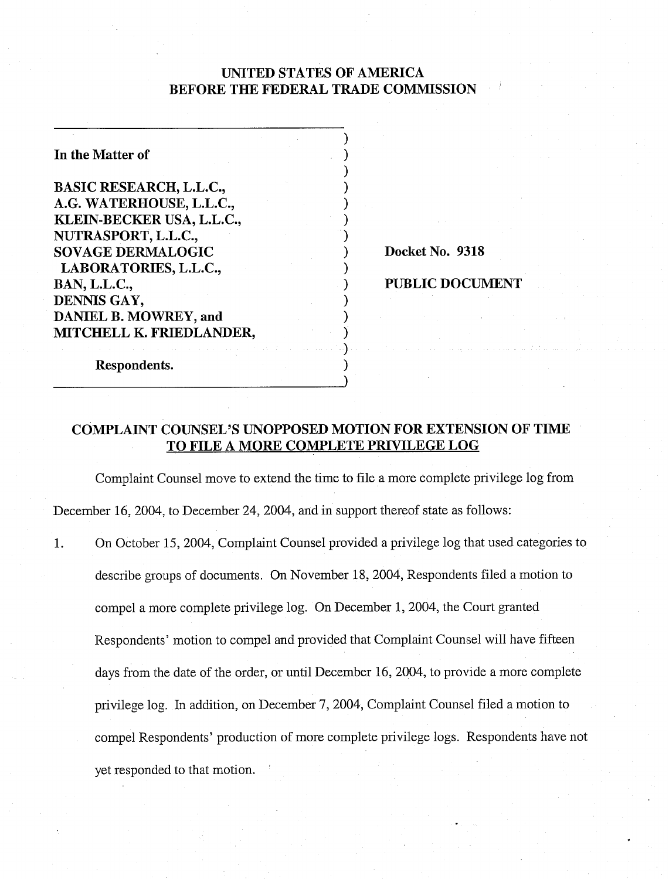# UNITED STATES OF AMERICA BEFORE THE FEDERAL TRADE COMMISSION

 $)$  $\mathbf{I}$  $\mathbf{I}$  $)$  $)$  $)$ 

 $)$ 

 $)$  $)$  $)$  $\mathbf{)}$ 

 $)$ 

| In the Matter of               |  |
|--------------------------------|--|
| <b>BASIC RESEARCH, L.L.C.,</b> |  |
| A.G. WATERHOUSE, L.L.C.,       |  |
| KLEIN-BECKER USA, L.L.C.,      |  |
| NUTRASPORT, L.L.C.,            |  |
| <b>SOVAGE DERMALOGIC</b>       |  |
| LABORATORIES, L.L.C.,          |  |
| BAN, L.L.C.,                   |  |
| DENNIS GAY,                    |  |
| DANIEL B. MOWREY, and          |  |
| MITCHELL K. FRIEDLANDER,       |  |
|                                |  |
| Respondents.                   |  |

Docket No. 9318

### PUBLIC DOCUMENT

## COMPLAINT COUNSEL'S UNOPPOSED MOTION FOR EXTENSION OF TIME TO FILE A MORE COMPLETE PRIVILEGE LOG

Complaint Counsel move to extend the time to file a more complete privilege log from December 16, 2004, to December 24, 2004, and in support thereof state as follows:

1. On October 15, 2004, Complaint Counsel provided a privilege log that used categories to describe groups of documents. On November 18,2004, Respondents filed a motion to compel a more complete privilege log. On December 1,2004, the Court granted Respondents' motion to compel and provided that Complaint Counsel will have fifteen days from the date of the order, or until December 16, 2004, to provide a more complete privilege log. In addition, on December 7,2004, Complaint Counsel filed a motion to compel Respondents' production of more complete privilege logs. Respondents have not yet responded to that motion. '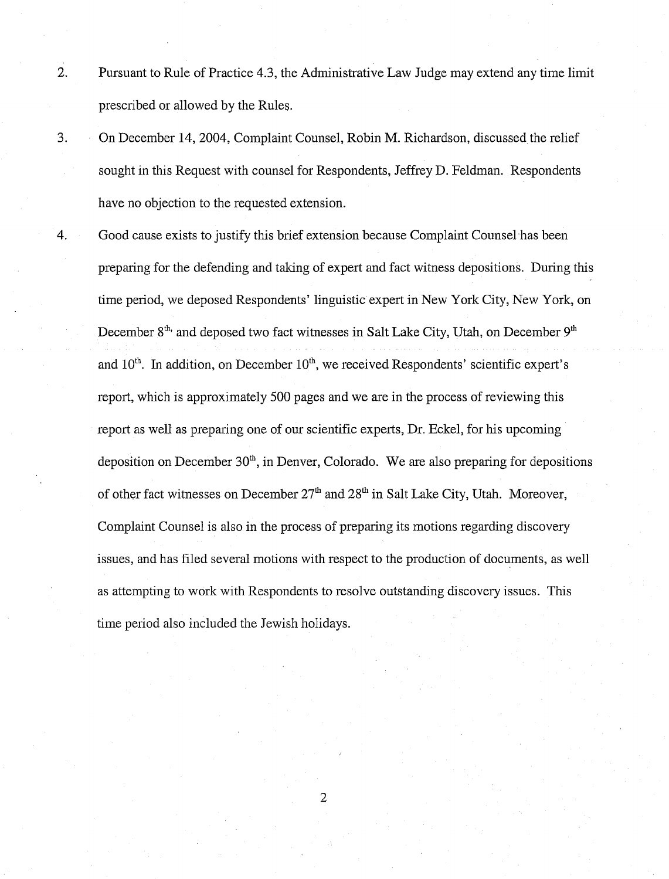- 2. Pursuant to Rule of Practice 4.3, the Administrative Law Judge may extend any time limit prescribed or allowed by the Rules.
- 3. On December 14,2004, Complaint Counsel, Robin M. Richardson, discussed the relief sought in this Request with counsel for Respondents, Jeffrey D. Feldman. Respondents have no objection to the requested extension.
- 4. Good cause exists to justify this brief extension because Complaint Counsel has been preparing for the defending and taking of expert and fact witness depositions. During this time period, we deposed Respondents' linguistic expert in New York City, New York, on December  $8<sup>th</sup>$  and deposed two fact witnesses in Salt Lake City, Utah, on December  $9<sup>th</sup>$ and  $10<sup>th</sup>$ . In addition, on December  $10<sup>th</sup>$ , we received Respondents' scientific expert's report, which is approximately 500 pages and we are in the process of reviewing this report as well as preparing one of our scientific experts, Dr. Eckel, for his upcoming deposition on December  $30<sup>th</sup>$ , in Denver, Colorado. We are also preparing for depositions of other fact witnesses on December  $27<sup>th</sup>$  and  $28<sup>th</sup>$  in Salt Lake City, Utah. Moreover, Complaint Counsel is also in the process of preparing its motions regarding discovery issues, and has filed several motions with respect to the production of documents, as well as attempting to work with Respondents to resolve outstanding discovery issues. This time period also included the Jewish holidays.

 $\overline{2}$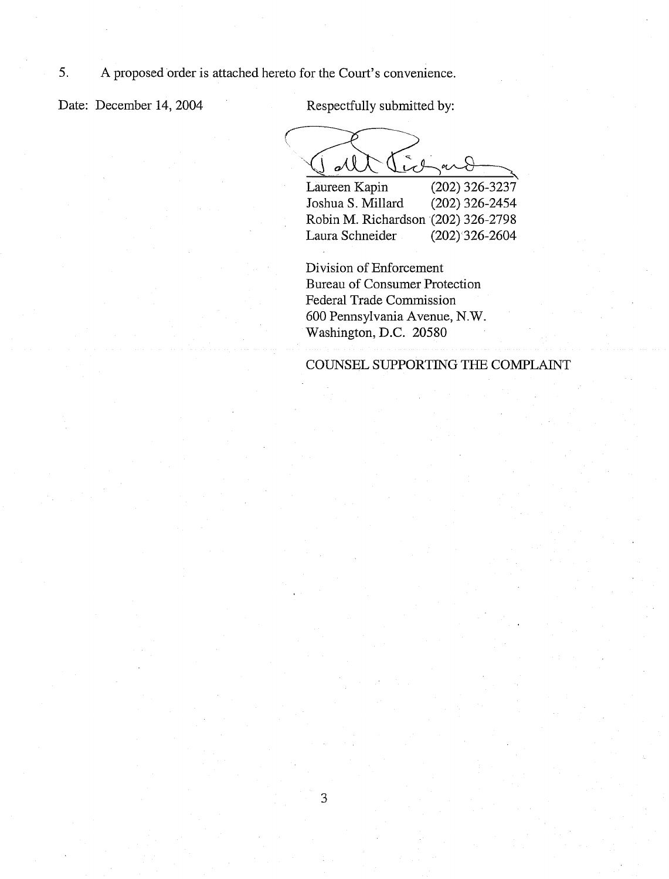Date: December 14, 2004 Respectfully submitted by:

 $\sum_{i=1}^n$  $cl$  $\alpha$ 

Laureen Kapin (202) 326-3237' Joshua S. Millard (202) 326-2454 Robin M. Richardson (202) 326-2798 Laura Schneider (202) 326-2604

Division of Enforcement Bureau of Consumer Protection Federal Trade Commission 600 Pennsylvania Avenue, N.W. Washington, D.C. 20580

COUNSEL SUPPORTING THE COMPLAINT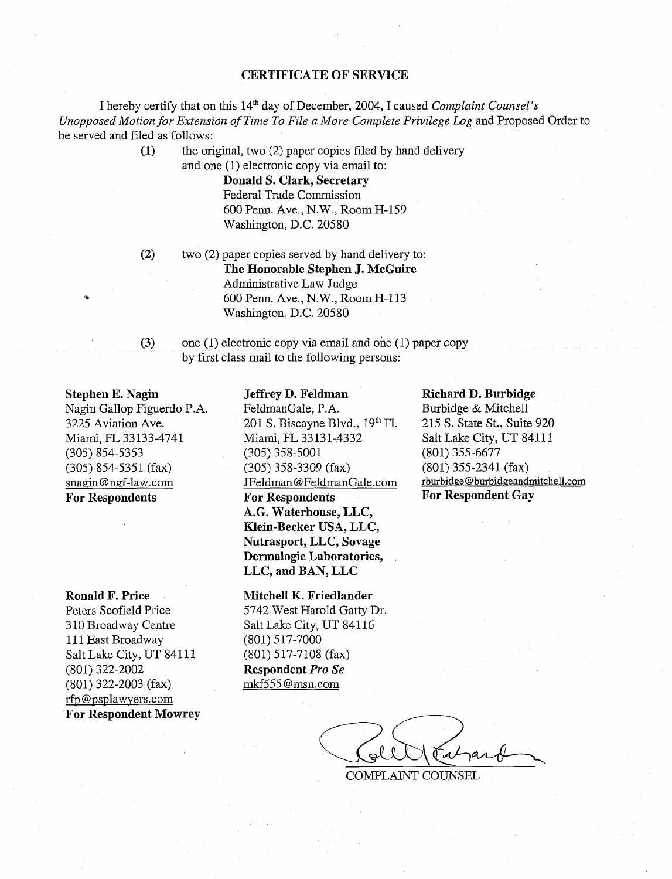### **CERTIFICATE OF SERVICE**

I hereby certify that on this 14' day of December, 2004, I caused *Conzplnint Counsel's Unopposed Motion for Extension of Tinze To File n More Conzplete Privilege Log* and Proposed Order to be served and filed as follows:

> **(1)** the original, two (2) paper copies filed by hand delivery and one (I) electronic copy via email to:

> > **Donald S. Clark, Secretary**  Federal Trade Commission 600 Penn. Ave., N.W., Room H-159 Washington, D.C. 20580

**(2)** two (2) paper copies served by hand delivery to: **The Honorable Stephen J. McGuire**  Administrative Law Judge 600 Penn. Ave., N.W., Room H-113 Washington, D.C. 20580

**(3)** one (I) electronic copy via email and one (1) paper copy by first class mail to the following persons:

#### **Stephen E. Nagin**

Nagin Gallop Figuerdo P.A. 3225 Aviation Ave. Miami, FL 33133-4741 (305) 854-5353 (305) 854-5351 (fax) snagin @ngf-law.com **For Respondents** 

#### **Ronald F. Price**

Peters Scofield Price 3 10 Broadway Centre 111 East Broadway Salt Lake City, UT 84111 (801) 322-2002 (801) 322-2003 (fax) rfp @psplawyers.com **For Respondent Mowrey** 

### **Jeffrey D. Feldman**

FeldmanGale, **P.** A. 201 S. Biscayne Blvd., 19" Fl. Miami, FL 33131-4332 (305) 358-5001 (305) 358-3309 (fax) JFeldman @FeldrnanGale.com **For Respondents**  A.G. **Waterhouse, LLC, Klein-Becker USA, LLC, Nutrasport, LLC, Sovage Dermalogic Laboratories, LLC, and BAN, LLC** 

#### **Mitchell K. Friedlander**

5742 West Harold Gatty Dr. Salt Lake City, UT 841 16 (801) 5 17-7000 (801) 517-7108 (fax) **Respondent** *Pro Se*  rnkf555 @msn.com

### **Richard D. Burbidge**

Burbidge & Mitchell 215 S. State St., Suite 920 Salt Lake City, UT 84111 (801) 355-6677 (801) 355-2341 (fax) rburbidge @ bwbidgeandmitchell.com **For Respondent Gay** 

COMPLAINT COUNSEL